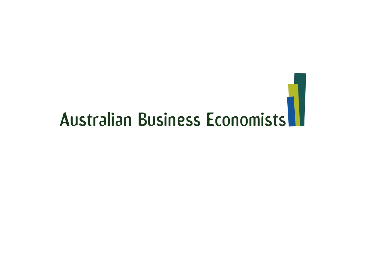# Australian Business Economists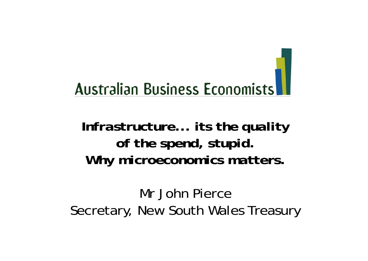### **Australian Business Economists**

### *Infrastructure... its the quality of the spend, stupid. Why microeconomics matters.*

Mr John PierceSecretary, New South Wales Treasury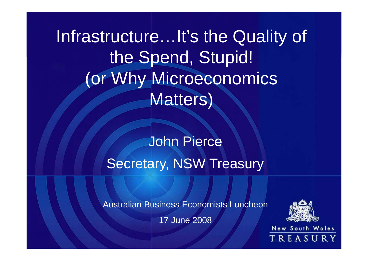Infrastructure…It's the Quality of the Spend, Stupid! (or Why Microeconomics Matters)

> John Pierce Secretary, NSW Treasury

Australian Business Economists Luncheon

17 June 2008

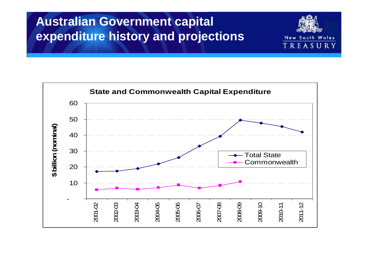#### **Australian Government capital expenditure history and projections**



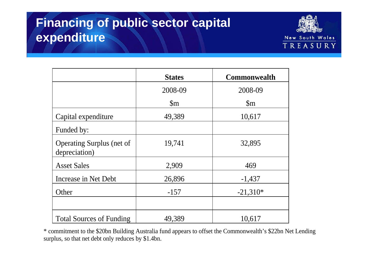#### **Financing of public sector capital expenditure**



|                                                   | <b>States</b>  | <b>Commonwealth</b> |
|---------------------------------------------------|----------------|---------------------|
|                                                   | 2008-09        | 2008-09             |
|                                                   | $\mathfrak{m}$ | $\mathbb{S}_{m}$    |
| Capital expenditure                               | 49,389         | 10,617              |
| Funded by:                                        |                |                     |
| <b>Operating Surplus (net of</b><br>depreciation) | 19,741         | 32,895              |
| <b>Asset Sales</b>                                | 2,909          | 469                 |
| Increase in Net Debt                              | 26,896         | $-1,437$            |
| Other                                             | $-157$         | $-21,310*$          |
|                                                   |                |                     |
| <b>Total Sources of Funding</b>                   | 49,389         | 10,617              |

\* commitment to the \$20bn Building Australia fund appears to offset the Commonwealth's \$22bn Net Lending surplus, so that net debt only reduces by \$1.4bn.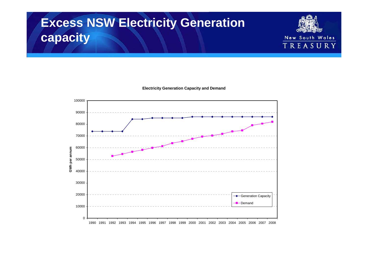### **Excess NSW Electricity Generation capacity**

**Electricity Generation Capacity and Demand**

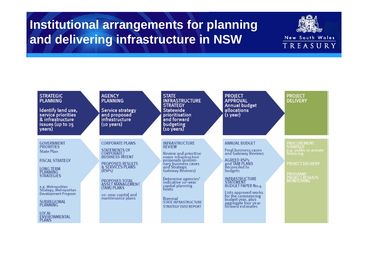#### **Institutional arrangements for planning and delivering infrastructure in NSW**



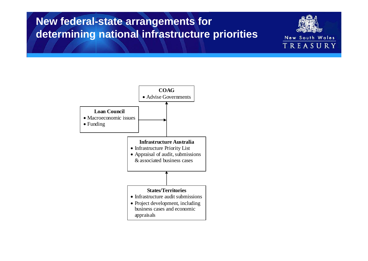#### **New federal-state arrangements for determining national infrastructure priorities**

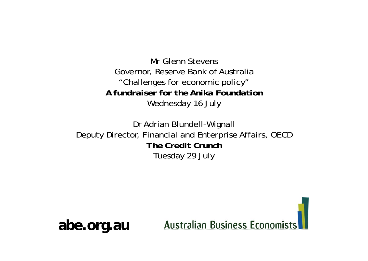Mr Glenn StevensGovernor, Reserve Bank of Australia "Challenges for economic policy" *A fundraiser for the Anika Foundation*Wednesday 16 July

Dr Adrian Blundell-Wignall Deputy Director, Financial and Enterprise Affairs, OECD *The Credit Crunch*Tuesday 29 July



**abe.org.au**